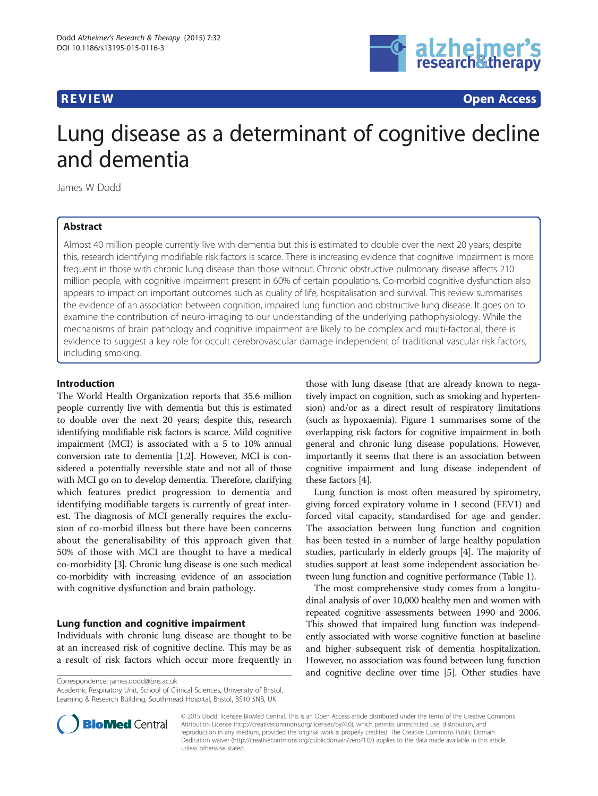

**REVIEW CONSTRUCTION CONSTRUCTION CONSTRUCTS** 

# Lung disease as a determinant of cognitive decline and dementia

James W Dodd

# Abstract

Almost 40 million people currently live with dementia but this is estimated to double over the next 20 years; despite this, research identifying modifiable risk factors is scarce. There is increasing evidence that cognitive impairment is more frequent in those with chronic lung disease than those without. Chronic obstructive pulmonary disease affects 210 million people, with cognitive impairment present in 60% of certain populations. Co-morbid cognitive dysfunction also appears to impact on important outcomes such as quality of life, hospitalisation and survival. This review summarises the evidence of an association between cognition, impaired lung function and obstructive lung disease. It goes on to examine the contribution of neuro-imaging to our understanding of the underlying pathophysiology. While the mechanisms of brain pathology and cognitive impairment are likely to be complex and multi-factorial, there is evidence to suggest a key role for occult cerebrovascular damage independent of traditional vascular risk factors, including smoking.

### Introduction

The World Health Organization reports that 35.6 million people currently live with dementia but this is estimated to double over the next 20 years; despite this, research identifying modifiable risk factors is scarce. Mild cognitive impairment (MCI) is associated with a 5 to 10% annual conversion rate to dementia [\[1,2](#page-6-0)]. However, MCI is considered a potentially reversible state and not all of those with MCI go on to develop dementia. Therefore, clarifying which features predict progression to dementia and identifying modifiable targets is currently of great interest. The diagnosis of MCI generally requires the exclusion of co-morbid illness but there have been concerns about the generalisability of this approach given that 50% of those with MCI are thought to have a medical co-morbidity [[3](#page-6-0)]. Chronic lung disease is one such medical co-morbidity with increasing evidence of an association with cognitive dysfunction and brain pathology.

# Lung function and cognitive impairment

Individuals with chronic lung disease are thought to be at an increased risk of cognitive decline. This may be as a result of risk factors which occur more frequently in those with lung disease (that are already known to negatively impact on cognition, such as smoking and hypertension) and/or as a direct result of respiratory limitations (such as hypoxaemia). Figure [1](#page-1-0) summarises some of the overlapping risk factors for cognitive impairment in both general and chronic lung disease populations. However, importantly it seems that there is an association between cognitive impairment and lung disease independent of these factors [\[4](#page-6-0)].

Lung function is most often measured by spirometry, giving forced expiratory volume in 1 second (FEV1) and forced vital capacity, standardised for age and gender. The association between lung function and cognition has been tested in a number of large healthy population studies, particularly in elderly groups [\[4](#page-6-0)]. The majority of studies support at least some independent association between lung function and cognitive performance (Table [1](#page-1-0)).

The most comprehensive study comes from a longitudinal analysis of over 10,000 healthy men and women with repeated cognitive assessments between 1990 and 2006. This showed that impaired lung function was independently associated with worse cognitive function at baseline and higher subsequent risk of dementia hospitalization. However, no association was found between lung function and cognitive decline over time [\[5](#page-6-0)]. Other studies have

Correspondence: [james.dodd@bris.ac.uk](mailto:james.dodd@bris.ac.uk)

Academic Respiratory Unit, School of Clinical Sciences, University of Bristol, Learning & Research Building, Southmead Hospital, Bristol, BS10 5NB, UK



© 2015 Dodd; licensee BioMed Central. This is an Open Access article distributed under the terms of the Creative Commons Attribution License (<http://creativecommons.org/licenses/by/4.0>), which permits unrestricted use, distribution, and reproduction in any medium, provided the original work is properly credited. The Creative Commons Public Domain Dedication waiver [\(http://creativecommons.org/publicdomain/zero/1.0/](http://creativecommons.org/publicdomain/zero/1.0/)) applies to the data made available in this article, unless otherwise stated.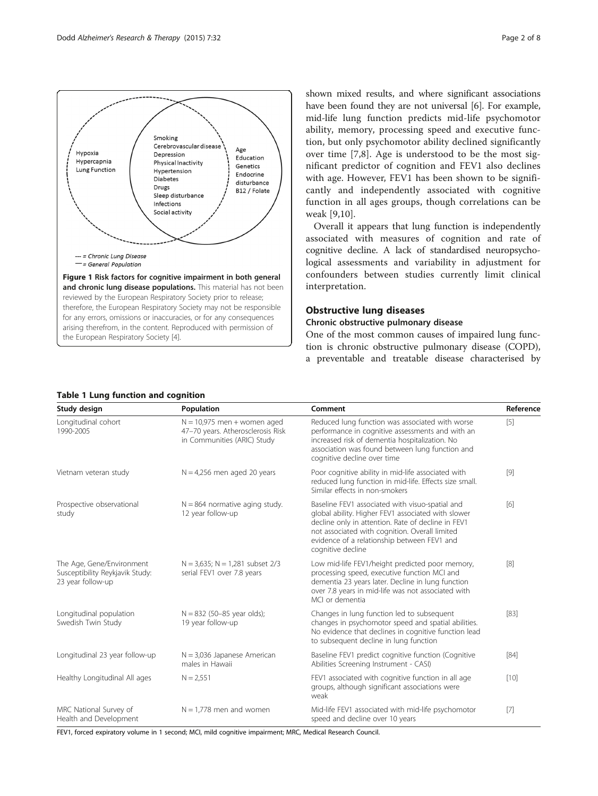<span id="page-1-0"></span>

shown mixed results, and where significant associations have been found they are not universal [\[6](#page-6-0)]. For example, mid-life lung function predicts mid-life psychomotor ability, memory, processing speed and executive function, but only psychomotor ability declined significantly over time [[7,8\]](#page-6-0). Age is understood to be the most significant predictor of cognition and FEV1 also declines with age. However, FEV1 has been shown to be significantly and independently associated with cognitive function in all ages groups, though correlations can be weak [[9,10\]](#page-6-0).

Overall it appears that lung function is independently associated with measures of cognition and rate of cognitive decline. A lack of standardised neuropsychological assessments and variability in adjustment for confounders between studies currently limit clinical interpretation.

#### Obstructive lung diseases

# Chronic obstructive pulmonary disease

One of the most common causes of impaired lung function is chronic obstructive pulmonary disease (COPD), a preventable and treatable disease characterised by

| Study design                                                                      | Population                                                                                        | Comment                                                                                                                                                                                                                                                                           | Reference |
|-----------------------------------------------------------------------------------|---------------------------------------------------------------------------------------------------|-----------------------------------------------------------------------------------------------------------------------------------------------------------------------------------------------------------------------------------------------------------------------------------|-----------|
| Longitudinal cohort<br>1990-2005                                                  | $N = 10,975$ men + women aged<br>47-70 years. Atherosclerosis Risk<br>in Communities (ARIC) Study | Reduced lung function was associated with worse<br>performance in cognitive assessments and with an<br>increased risk of dementia hospitalization. No<br>association was found between lung function and<br>cognitive decline over time                                           | $[5]$     |
| Vietnam veteran study                                                             | $N = 4,256$ men aged 20 years                                                                     | Poor cognitive ability in mid-life associated with<br>reduced lung function in mid-life. Effects size small.<br>Similar effects in non-smokers                                                                                                                                    | $[9]$     |
| Prospective observational<br>study                                                | $N = 864$ normative aging study.<br>12 year follow-up                                             | Baseline FEV1 associated with visuo-spatial and<br>global ability. Higher FEV1 associated with slower<br>decline only in attention. Rate of decline in FEV1<br>not associated with cognition. Overall limited<br>evidence of a relationship between FEV1 and<br>cognitive decline | $[6]$     |
| The Age, Gene/Environment<br>Susceptibility Reykjavik Study:<br>23 year follow-up | $N = 3,635$ ; $N = 1,281$ subset 2/3<br>serial FEV1 over 7.8 years                                | Low mid-life FEV1/height predicted poor memory,<br>processing speed, executive function MCI and<br>dementia 23 years later. Decline in lung function<br>over 7.8 years in mid-life was not associated with<br>MCI or dementia                                                     | [8]       |
| Longitudinal population<br>Swedish Twin Study                                     | $N = 832$ (50-85 year olds);<br>19 year follow-up                                                 | Changes in lung function led to subsequent<br>changes in psychomotor speed and spatial abilities.<br>No evidence that declines in cognitive function lead<br>to subsequent decline in lung function                                                                               | $[83]$    |
| Longitudinal 23 year follow-up                                                    | $N = 3,036$ Japanese American<br>males in Hawaii                                                  | Baseline FEV1 predict cognitive function (Cognitive<br>Abilities Screening Instrument - CASI)                                                                                                                                                                                     | $[84]$    |
| Healthy Longitudinal All ages                                                     | $N = 2,551$                                                                                       | FEV1 associated with cognitive function in all age<br>groups, although significant associations were<br>weak                                                                                                                                                                      | [10]      |
| MRC National Survey of<br>Health and Development                                  | $N = 1,778$ men and women                                                                         | Mid-life FEV1 associated with mid-life psychomotor<br>speed and decline over 10 years                                                                                                                                                                                             | $[7]$     |

## Table 1 Lung function and cognition

FEV1, forced expiratory volume in 1 second; MCI, mild cognitive impairment; MRC, Medical Research Council.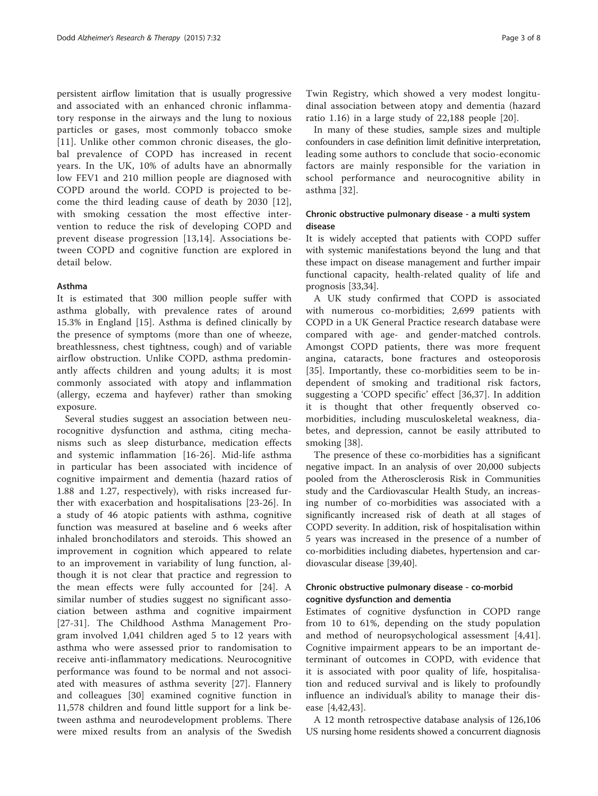persistent airflow limitation that is usually progressive and associated with an enhanced chronic inflammatory response in the airways and the lung to noxious particles or gases, most commonly tobacco smoke [[11](#page-6-0)]. Unlike other common chronic diseases, the global prevalence of COPD has increased in recent years. In the UK, 10% of adults have an abnormally low FEV1 and 210 million people are diagnosed with COPD around the world. COPD is projected to become the third leading cause of death by 2030 [[12](#page-6-0)], with smoking cessation the most effective intervention to reduce the risk of developing COPD and prevent disease progression [[13,14\]](#page-6-0). Associations between COPD and cognitive function are explored in detail below.

#### Asthma

It is estimated that 300 million people suffer with asthma globally, with prevalence rates of around 15.3% in England [[15](#page-6-0)]. Asthma is defined clinically by the presence of symptoms (more than one of wheeze, breathlessness, chest tightness, cough) and of variable airflow obstruction. Unlike COPD, asthma predominantly affects children and young adults; it is most commonly associated with atopy and inflammation (allergy, eczema and hayfever) rather than smoking exposure.

Several studies suggest an association between neurocognitive dysfunction and asthma, citing mechanisms such as sleep disturbance, medication effects and systemic inflammation [\[16](#page-6-0)-[26](#page-6-0)]. Mid-life asthma in particular has been associated with incidence of cognitive impairment and dementia (hazard ratios of 1.88 and 1.27, respectively), with risks increased further with exacerbation and hospitalisations [\[23](#page-6-0)-[26](#page-6-0)]. In a study of 46 atopic patients with asthma, cognitive function was measured at baseline and 6 weeks after inhaled bronchodilators and steroids. This showed an improvement in cognition which appeared to relate to an improvement in variability of lung function, although it is not clear that practice and regression to the mean effects were fully accounted for [\[24\]](#page-6-0). A similar number of studies suggest no significant association between asthma and cognitive impairment [[27-31\]](#page-6-0). The Childhood Asthma Management Program involved 1,041 children aged 5 to 12 years with asthma who were assessed prior to randomisation to receive anti-inflammatory medications. Neurocognitive performance was found to be normal and not associated with measures of asthma severity [[27\]](#page-6-0). Flannery and colleagues [[30\]](#page-6-0) examined cognitive function in 11,578 children and found little support for a link between asthma and neurodevelopment problems. There were mixed results from an analysis of the Swedish

Twin Registry, which showed a very modest longitudinal association between atopy and dementia (hazard ratio 1.16) in a large study of 22,188 people [[20](#page-6-0)].

In many of these studies, sample sizes and multiple confounders in case definition limit definitive interpretation, leading some authors to conclude that socio-economic factors are mainly responsible for the variation in school performance and neurocognitive ability in asthma [[32](#page-6-0)].

## Chronic obstructive pulmonary disease - a multi system disease

It is widely accepted that patients with COPD suffer with systemic manifestations beyond the lung and that these impact on disease management and further impair functional capacity, health-related quality of life and prognosis [\[33,34\]](#page-6-0).

A UK study confirmed that COPD is associated with numerous co-morbidities; 2,699 patients with COPD in a UK General Practice research database were compared with age- and gender-matched controls. Amongst COPD patients, there was more frequent angina, cataracts, bone fractures and osteoporosis [[35](#page-6-0)]. Importantly, these co-morbidities seem to be independent of smoking and traditional risk factors, suggesting a 'COPD specific' effect [[36,37](#page-6-0)]. In addition it is thought that other frequently observed comorbidities, including musculoskeletal weakness, diabetes, and depression, cannot be easily attributed to smoking [[38](#page-6-0)].

The presence of these co-morbidities has a significant negative impact. In an analysis of over 20,000 subjects pooled from the Atherosclerosis Risk in Communities study and the Cardiovascular Health Study, an increasing number of co-morbidities was associated with a significantly increased risk of death at all stages of COPD severity. In addition, risk of hospitalisation within 5 years was increased in the presence of a number of co-morbidities including diabetes, hypertension and cardiovascular disease [\[39](#page-6-0)[,40](#page-7-0)].

# Chronic obstructive pulmonary disease - co-morbid cognitive dysfunction and dementia

Estimates of cognitive dysfunction in COPD range from 10 to 61%, depending on the study population and method of neuropsychological assessment [[4,](#page-6-0)[41](#page-7-0)]. Cognitive impairment appears to be an important determinant of outcomes in COPD, with evidence that it is associated with poor quality of life, hospitalisation and reduced survival and is likely to profoundly influence an individual's ability to manage their disease [\[4](#page-6-0),[42,43\]](#page-7-0).

A 12 month retrospective database analysis of 126,106 US nursing home residents showed a concurrent diagnosis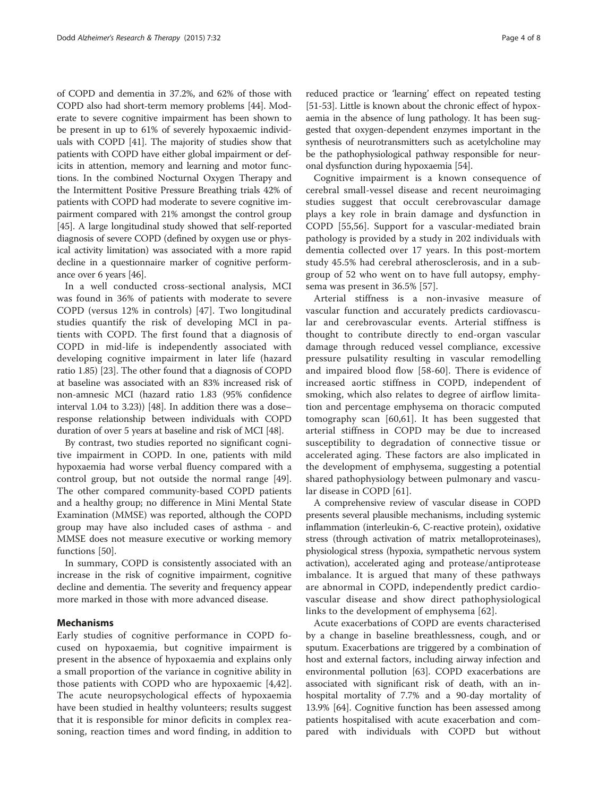of COPD and dementia in 37.2%, and 62% of those with COPD also had short-term memory problems [[44](#page-7-0)]. Moderate to severe cognitive impairment has been shown to be present in up to 61% of severely hypoxaemic individuals with COPD [\[41\]](#page-7-0). The majority of studies show that patients with COPD have either global impairment or deficits in attention, memory and learning and motor functions. In the combined Nocturnal Oxygen Therapy and the Intermittent Positive Pressure Breathing trials 42% of patients with COPD had moderate to severe cognitive impairment compared with 21% amongst the control group [[45](#page-7-0)]. A large longitudinal study showed that self-reported diagnosis of severe COPD (defined by oxygen use or physical activity limitation) was associated with a more rapid decline in a questionnaire marker of cognitive performance over 6 years [[46](#page-7-0)].

In a well conducted cross-sectional analysis, MCI was found in 36% of patients with moderate to severe COPD (versus 12% in controls) [\[47](#page-7-0)]. Two longitudinal studies quantify the risk of developing MCI in patients with COPD. The first found that a diagnosis of COPD in mid-life is independently associated with developing cognitive impairment in later life (hazard ratio 1.85) [\[23\]](#page-6-0). The other found that a diagnosis of COPD at baseline was associated with an 83% increased risk of non-amnesic MCI (hazard ratio 1.83 (95% confidence interval 1.04 to 3.23)) [[48](#page-7-0)]. In addition there was a dose– response relationship between individuals with COPD duration of over 5 years at baseline and risk of MCI [\[48\]](#page-7-0).

By contrast, two studies reported no significant cognitive impairment in COPD. In one, patients with mild hypoxaemia had worse verbal fluency compared with a control group, but not outside the normal range [\[49](#page-7-0)]. The other compared community-based COPD patients and a healthy group; no difference in Mini Mental State Examination (MMSE) was reported, although the COPD group may have also included cases of asthma - and MMSE does not measure executive or working memory functions [[50\]](#page-7-0).

In summary, COPD is consistently associated with an increase in the risk of cognitive impairment, cognitive decline and dementia. The severity and frequency appear more marked in those with more advanced disease.

#### Mechanisms

Early studies of cognitive performance in COPD focused on hypoxaemia, but cognitive impairment is present in the absence of hypoxaemia and explains only a small proportion of the variance in cognitive ability in those patients with COPD who are hypoxaemic [[4,](#page-6-0)[42](#page-7-0)]. The acute neuropsychological effects of hypoxaemia have been studied in healthy volunteers; results suggest that it is responsible for minor deficits in complex reasoning, reaction times and word finding, in addition to

reduced practice or 'learning' effect on repeated testing [[51](#page-7-0)-[53\]](#page-7-0). Little is known about the chronic effect of hypoxaemia in the absence of lung pathology. It has been suggested that oxygen-dependent enzymes important in the synthesis of neurotransmitters such as acetylcholine may be the pathophysiological pathway responsible for neuronal dysfunction during hypoxaemia [\[54\]](#page-7-0).

Cognitive impairment is a known consequence of cerebral small-vessel disease and recent neuroimaging studies suggest that occult cerebrovascular damage plays a key role in brain damage and dysfunction in COPD [[55,56](#page-7-0)]. Support for a vascular-mediated brain pathology is provided by a study in 202 individuals with dementia collected over 17 years. In this post-mortem study 45.5% had cerebral atherosclerosis, and in a subgroup of 52 who went on to have full autopsy, emphysema was present in 36.5% [[57](#page-7-0)].

Arterial stiffness is a non-invasive measure of vascular function and accurately predicts cardiovascular and cerebrovascular events. Arterial stiffness is thought to contribute directly to end-organ vascular damage through reduced vessel compliance, excessive pressure pulsatility resulting in vascular remodelling and impaired blood flow [[58-60](#page-7-0)]. There is evidence of increased aortic stiffness in COPD, independent of smoking, which also relates to degree of airflow limitation and percentage emphysema on thoracic computed tomography scan [\[60](#page-7-0),[61\]](#page-7-0). It has been suggested that arterial stiffness in COPD may be due to increased susceptibility to degradation of connective tissue or accelerated aging. These factors are also implicated in the development of emphysema, suggesting a potential shared pathophysiology between pulmonary and vascular disease in COPD [\[61](#page-7-0)].

A comprehensive review of vascular disease in COPD presents several plausible mechanisms, including systemic inflammation (interleukin-6, C-reactive protein), oxidative stress (through activation of matrix metalloproteinases), physiological stress (hypoxia, sympathetic nervous system activation), accelerated aging and protease/antiprotease imbalance. It is argued that many of these pathways are abnormal in COPD, independently predict cardiovascular disease and show direct pathophysiological links to the development of emphysema [\[62\]](#page-7-0).

Acute exacerbations of COPD are events characterised by a change in baseline breathlessness, cough, and or sputum. Exacerbations are triggered by a combination of host and external factors, including airway infection and environmental pollution [[63\]](#page-7-0). COPD exacerbations are associated with significant risk of death, with an inhospital mortality of 7.7% and a 90-day mortality of 13.9% [\[64\]](#page-7-0). Cognitive function has been assessed among patients hospitalised with acute exacerbation and compared with individuals with COPD but without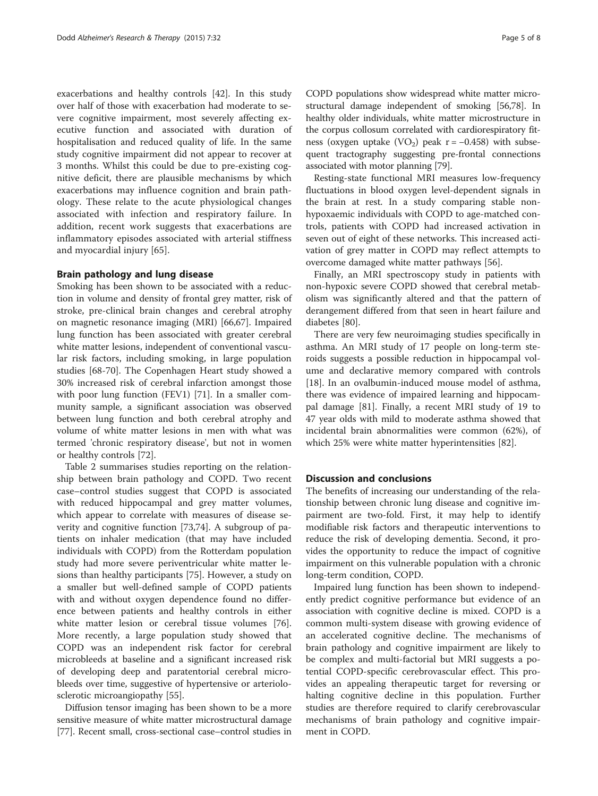exacerbations and healthy controls [\[42](#page-7-0)]. In this study over half of those with exacerbation had moderate to severe cognitive impairment, most severely affecting executive function and associated with duration of hospitalisation and reduced quality of life. In the same study cognitive impairment did not appear to recover at 3 months. Whilst this could be due to pre-existing cognitive deficit, there are plausible mechanisms by which exacerbations may influence cognition and brain pathology. These relate to the acute physiological changes associated with infection and respiratory failure. In addition, recent work suggests that exacerbations are inflammatory episodes associated with arterial stiffness and myocardial injury [[65\]](#page-7-0).

#### Brain pathology and lung disease

Smoking has been shown to be associated with a reduction in volume and density of frontal grey matter, risk of stroke, pre-clinical brain changes and cerebral atrophy on magnetic resonance imaging (MRI) [\[66,67\]](#page-7-0). Impaired lung function has been associated with greater cerebral white matter lesions, independent of conventional vascular risk factors, including smoking, in large population studies [[68-70](#page-7-0)]. The Copenhagen Heart study showed a 30% increased risk of cerebral infarction amongst those with poor lung function (FEV1) [\[71](#page-7-0)]. In a smaller community sample, a significant association was observed between lung function and both cerebral atrophy and volume of white matter lesions in men with what was termed 'chronic respiratory disease', but not in women or healthy controls [\[72](#page-7-0)].

Table [2](#page-5-0) summarises studies reporting on the relationship between brain pathology and COPD. Two recent case–control studies suggest that COPD is associated with reduced hippocampal and grey matter volumes, which appear to correlate with measures of disease severity and cognitive function [[73,74\]](#page-7-0). A subgroup of patients on inhaler medication (that may have included individuals with COPD) from the Rotterdam population study had more severe periventricular white matter lesions than healthy participants [\[75](#page-7-0)]. However, a study on a smaller but well-defined sample of COPD patients with and without oxygen dependence found no difference between patients and healthy controls in either white matter lesion or cerebral tissue volumes [\[76](#page-7-0)]. More recently, a large population study showed that COPD was an independent risk factor for cerebral microbleeds at baseline and a significant increased risk of developing deep and paratentorial cerebral microbleeds over time, suggestive of hypertensive or arteriolosclerotic microangiopathy [\[55](#page-7-0)].

Diffusion tensor imaging has been shown to be a more sensitive measure of white matter microstructural damage [[77](#page-7-0)]. Recent small, cross-sectional case–control studies in

COPD populations show widespread white matter microstructural damage independent of smoking [[56,78](#page-7-0)]. In healthy older individuals, white matter microstructure in the corpus collosum correlated with cardiorespiratory fitness (oxygen uptake  $(VO_2)$  peak r = −0.458) with subsequent tractography suggesting pre-frontal connections associated with motor planning [[79](#page-7-0)].

Resting-state functional MRI measures low-frequency fluctuations in blood oxygen level-dependent signals in the brain at rest. In a study comparing stable nonhypoxaemic individuals with COPD to age-matched controls, patients with COPD had increased activation in seven out of eight of these networks. This increased activation of grey matter in COPD may reflect attempts to overcome damaged white matter pathways [[56](#page-7-0)].

Finally, an MRI spectroscopy study in patients with non-hypoxic severe COPD showed that cerebral metabolism was significantly altered and that the pattern of derangement differed from that seen in heart failure and diabetes [[80\]](#page-7-0).

There are very few neuroimaging studies specifically in asthma. An MRI study of 17 people on long-term steroids suggests a possible reduction in hippocampal volume and declarative memory compared with controls [[18\]](#page-6-0). In an ovalbumin-induced mouse model of asthma, there was evidence of impaired learning and hippocampal damage [[81](#page-7-0)]. Finally, a recent MRI study of 19 to 47 year olds with mild to moderate asthma showed that incidental brain abnormalities were common (62%), of which 25% were white matter hyperintensities [\[82](#page-7-0)].

#### Discussion and conclusions

The benefits of increasing our understanding of the relationship between chronic lung disease and cognitive impairment are two-fold. First, it may help to identify modifiable risk factors and therapeutic interventions to reduce the risk of developing dementia. Second, it provides the opportunity to reduce the impact of cognitive impairment on this vulnerable population with a chronic long-term condition, COPD.

Impaired lung function has been shown to independently predict cognitive performance but evidence of an association with cognitive decline is mixed. COPD is a common multi-system disease with growing evidence of an accelerated cognitive decline. The mechanisms of brain pathology and cognitive impairment are likely to be complex and multi-factorial but MRI suggests a potential COPD-specific cerebrovascular effect. This provides an appealing therapeutic target for reversing or halting cognitive decline in this population. Further studies are therefore required to clarify cerebrovascular mechanisms of brain pathology and cognitive impairment in COPD.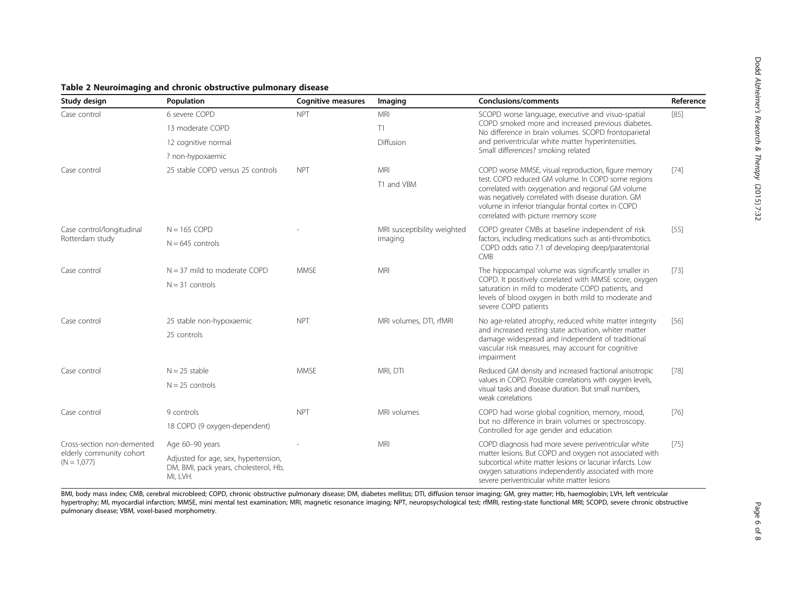<span id="page-5-0"></span>

| Table 2 Neuroimaging and chronic obstructive pulmonary disease |  |  |
|----------------------------------------------------------------|--|--|
|----------------------------------------------------------------|--|--|

| Study design                                                            | Population                                                                                | <b>Cognitive measures</b> | Imaging                                | <b>Conclusions/comments</b>                                                                                                                                                                                                                                                                                            | Reference |
|-------------------------------------------------------------------------|-------------------------------------------------------------------------------------------|---------------------------|----------------------------------------|------------------------------------------------------------------------------------------------------------------------------------------------------------------------------------------------------------------------------------------------------------------------------------------------------------------------|-----------|
| Case control                                                            | 6 severe COPD                                                                             | <b>NPT</b>                | MRI                                    | SCOPD worse language, executive and visuo-spatial<br>COPD smoked more and increased previous diabetes.<br>No difference in brain volumes. SCOPD frontoparietal<br>and periventricular white matter hyperintensities.                                                                                                   | $[85]$    |
|                                                                         | 13 moderate COPD                                                                          |                           | T1                                     |                                                                                                                                                                                                                                                                                                                        |           |
|                                                                         | 12 cognitive normal                                                                       |                           | Diffusion                              |                                                                                                                                                                                                                                                                                                                        |           |
|                                                                         | ? non-hypoxaemic                                                                          |                           |                                        | Small differences? smoking related                                                                                                                                                                                                                                                                                     |           |
| Case control                                                            | 25 stable COPD versus 25 controls                                                         | <b>NPT</b>                | <b>MRI</b>                             | COPD worse MMSE, visual reproduction, figure memory<br>test. COPD reduced GM volume. In COPD some regions<br>correlated with oxygenation and regional GM volume<br>was negatively correlated with disease duration. GM<br>volume in inferior triangular frontal cortex in COPD<br>correlated with picture memory score | $[74]$    |
|                                                                         |                                                                                           |                           | T1 and VBM                             |                                                                                                                                                                                                                                                                                                                        |           |
| Case control/longitudinal<br>Rotterdam study                            | $N = 165$ COPD                                                                            |                           | MRI susceptibility weighted<br>imaging | COPD greater CMBs at baseline independent of risk<br>factors, including medications such as anti-thrombotics.<br>COPD odds ratio 7.1 of developing deep/paratentorial<br><b>CMB</b>                                                                                                                                    | $[55]$    |
|                                                                         | $N = 645$ controls                                                                        |                           |                                        |                                                                                                                                                                                                                                                                                                                        |           |
| Case control                                                            | $N = 37$ mild to moderate COPD                                                            | <b>MMSE</b>               | <b>MRI</b>                             | The hippocampal volume was significantly smaller in<br>COPD. It positively correlated with MMSE score, oxygen<br>saturation in mild to moderate COPD patients, and<br>levels of blood oxygen in both mild to moderate and<br>severe COPD patients                                                                      | $[73]$    |
|                                                                         | $N = 31$ controls                                                                         |                           |                                        |                                                                                                                                                                                                                                                                                                                        |           |
| Case control                                                            | 25 stable non-hypoxaemic                                                                  | <b>NPT</b>                | MRI volumes, DTI, rfMRI                | No age-related atrophy, reduced white matter integrity<br>and increased resting state activation, whiter matter<br>damage widespread and independent of traditional<br>vascular risk measures, may account for cognitive<br>impairment                                                                                 | $[56]$    |
|                                                                         | 25 controls                                                                               |                           |                                        |                                                                                                                                                                                                                                                                                                                        |           |
| Case control                                                            | $N = 25$ stable                                                                           | <b>MMSE</b>               | MRI, DTI                               | Reduced GM density and increased fractional anisotropic<br>values in COPD. Possible correlations with oxygen levels,<br>visual tasks and disease duration. But small numbers,<br>weak correlations                                                                                                                     | $[78]$    |
|                                                                         | $N = 25$ controls                                                                         |                           |                                        |                                                                                                                                                                                                                                                                                                                        |           |
| Case control                                                            | 9 controls                                                                                | <b>NPT</b>                | MRI volumes                            | COPD had worse global cognition, memory, mood,<br>but no difference in brain volumes or spectroscopy.<br>Controlled for age gender and education                                                                                                                                                                       | $[76]$    |
|                                                                         | 18 COPD (9 oxygen-dependent)                                                              |                           |                                        |                                                                                                                                                                                                                                                                                                                        |           |
| Cross-section non-demented<br>elderly community cohort<br>$(N = 1,077)$ | Age 60-90 years                                                                           |                           | <b>MRI</b>                             | COPD diagnosis had more severe periventricular white                                                                                                                                                                                                                                                                   | $[75]$    |
|                                                                         | Adjusted for age, sex, hypertension,<br>DM, BMI, pack years, cholesterol, Hb,<br>MI, LVH. |                           |                                        | matter lesions. But COPD and oxygen not associated with<br>subcortical white matter lesions or lacunar infarcts. Low<br>oxygen saturations independently associated with more<br>severe periventricular white matter lesions                                                                                           |           |

BMI, body mass index; CMB, cerebral microbleed; COPD, chronic obstructive pulmonary disease; DM, diabetes mellitus; DTI, diffusion tensor imaging; GM, grey matter; Hb, haemoglobin; LVH, left ventricular hypertrophy; MI, myocardial infarction; MMSE, mini mental test examination; MRI, magnetic resonance imaging; NPT, neuropsychological test; rfMRI, resting-state functional MRI; SCOPD, severe chronic obstructive pulmonary disease; VBM, voxel-based morphometry.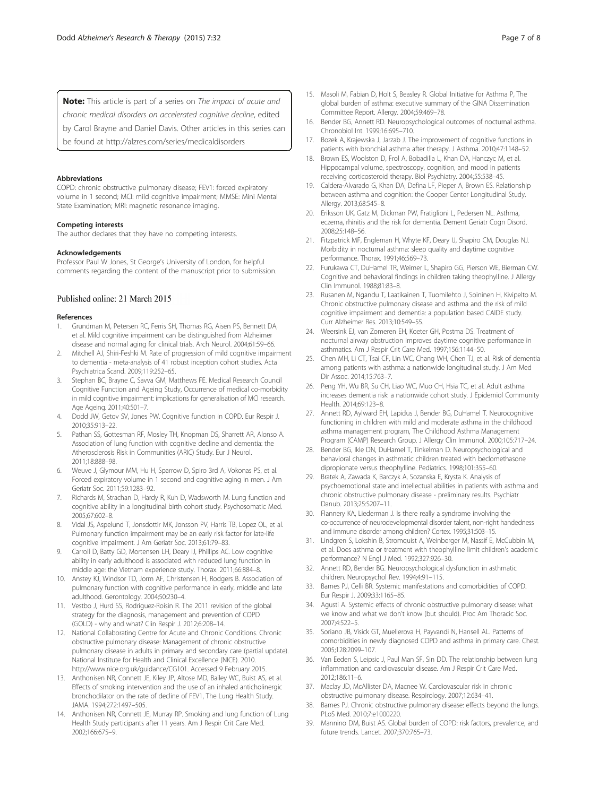<span id="page-6-0"></span>Note: This article is part of a series on The impact of acute and chronic medical disorders on accelerated coanitive decline, edited by Carol Brayne and Daniel Davis. Other articles in this series can

be found at<http://alzres.com/series/medicaldisorders>

#### Abbreviations

COPD: chronic obstructive pulmonary disease; FEV1: forced expiratory volume in 1 second; MCI: mild cognitive impairment; MMSE: Mini Mental State Examination; MRI: magnetic resonance imaging.

#### Competing interests

The author declares that they have no competing interests.

#### Acknowledgements

Professor Paul W Jones, St George's University of London, for helpful comments regarding the content of the manuscript prior to submission.

#### Published online: 21 March 2015

#### References

- 1. Grundman M, Petersen RC, Ferris SH, Thomas RG, Aisen PS, Bennett DA, et al. Mild cognitive impairment can be distinguished from Alzheimer disease and normal aging for clinical trials. Arch Neurol. 2004;61:59–66.
- 2. Mitchell AJ, Shiri-Feshki M. Rate of progression of mild cognitive impairment to dementia - meta-analysis of 41 robust inception cohort studies. Acta Psychiatrica Scand. 2009;119:252–65.
- 3. Stephan BC, Brayne C, Savva GM, Matthews FE. Medical Research Council Cognitive Function and Ageing Study, Occurrence of medical co-morbidity in mild cognitive impairment: implications for generalisation of MCI research. Age Ageing. 2011;40:501–7.
- 4. Dodd JW, Getov SV, Jones PW. Cognitive function in COPD. Eur Respir J. 2010;35:913–22.
- 5. Pathan SS, Gottesman RF, Mosley TH, Knopman DS, Sharrett AR, Alonso A. Association of lung function with cognitive decline and dementia: the Atherosclerosis Risk in Communities (ARIC) Study. Eur J Neurol. 2011;18:888–98.
- 6. Weuve J, Glymour MM, Hu H, Sparrow D, Spiro 3rd A, Vokonas PS, et al. Forced expiratory volume in 1 second and cognitive aging in men. J Am Geriatr Soc. 2011;59:1283–92.
- 7. Richards M, Strachan D, Hardy R, Kuh D, Wadsworth M. Lung function and cognitive ability in a longitudinal birth cohort study. Psychosomatic Med. 2005;67:602–8.
- Vidal JS, Aspelund T, Jonsdottir MK, Jonsson PV, Harris TB, Lopez OL, et al. Pulmonary function impairment may be an early risk factor for late-life cognitive impairment. J Am Geriatr Soc. 2013;61:79–83.
- 9. Carroll D, Batty GD, Mortensen LH, Deary IJ, Phillips AC. Low cognitive ability in early adulthood is associated with reduced lung function in middle age: the Vietnam experience study. Thorax. 2011;66:884–8.
- 10. Anstey KJ, Windsor TD, Jorm AF, Christensen H, Rodgers B. Association of pulmonary function with cognitive performance in early, middle and late adulthood. Gerontology. 2004;50:230–4.
- 11. Vestbo J, Hurd SS, Rodriguez-Roisin R. The 2011 revision of the global strategy for the diagnosis, management and prevention of COPD (GOLD) - why and what? Clin Respir J. 2012;6:208–14.
- 12. National Collaborating Centre for Acute and Chronic Conditions. Chronic obstructive pulmonary disease: Management of chronic obstructive pulmonary disease in adults in primary and secondary care (partial update). National Institute for Health and Clinical Excellence (NICE). 2010. [http://www.nice.org.uk/guidance/CG101.](http://www.nice.org.uk/guidance/CG101) Accessed 9 February 2015.
- 13. Anthonisen NR, Connett JE, Kiley JP, Altose MD, Bailey WC, Buist AS, et al. Effects of smoking intervention and the use of an inhaled anticholinergic bronchodilator on the rate of decline of FEV1, The Lung Health Study. JAMA. 1994;272:1497–505.
- 14. Anthonisen NR, Connett JE, Murray RP. Smoking and lung function of Lung Health Study participants after 11 years. Am J Respir Crit Care Med. 2002;166:675–9.
- 15. Masoli M, Fabian D, Holt S, Beasley R. Global Initiative for Asthma P, The global burden of asthma: executive summary of the GINA Dissemination Committee Report. Allergy. 2004;59:469–78.
- 16. Bender BG, Annett RD. Neuropsychological outcomes of nocturnal asthma. Chronobiol Int. 1999;16:695–710.
- 17. Bozek A, Krajewska J, Jarzab J. The improvement of cognitive functions in patients with bronchial asthma after therapy. J Asthma. 2010;47:1148–52.
- 18. Brown ES, Woolston D, Frol A, Bobadilla L, Khan DA, Hanczyc M, et al. Hippocampal volume, spectroscopy, cognition, and mood in patients receiving corticosteroid therapy. Biol Psychiatry. 2004;55:538–45.
- 19. Caldera-Alvarado G, Khan DA, Defina LF, Pieper A, Brown ES. Relationship between asthma and cognition: the Cooper Center Longitudinal Study. Allergy. 2013;68:545–8.
- 20. Eriksson UK, Gatz M, Dickman PW, Fratiglioni L, Pedersen NL. Asthma, eczema, rhinitis and the risk for dementia. Dement Geriatr Cogn Disord. 2008;25:148–56.
- 21. Fitzpatrick MF, Engleman H, Whyte KF, Deary IJ, Shapiro CM, Douglas NJ. Morbidity in nocturnal asthma: sleep quality and daytime cognitive performance. Thorax. 1991;46:569–73.
- 22. Furukawa CT, DuHamel TR, Weimer L, Shapiro GG, Pierson WE, Bierman CW. Cognitive and behavioral findings in children taking theophylline. J Allergy Clin Immunol. 1988;81:83–8.
- 23. Rusanen M, Ngandu T, Laatikainen T, Tuomilehto J, Soininen H, Kivipelto M. Chronic obstructive pulmonary disease and asthma and the risk of mild cognitive impairment and dementia: a population based CAIDE study. Curr Alzheimer Res. 2013;10:549–55.
- 24. Weersink EJ, van Zomeren EH, Koeter GH, Postma DS. Treatment of nocturnal airway obstruction improves daytime cognitive performance in asthmatics. Am J Respir Crit Care Med. 1997;156:1144–50.
- 25. Chen MH, Li CT, Tsai CF, Lin WC, Chang WH, Chen TJ, et al. Risk of dementia among patients with asthma: a nationwide longitudinal study. J Am Med Dir Assoc. 2014;15:763–7.
- 26. Peng YH, Wu BR, Su CH, Liao WC, Muo CH, Hsia TC, et al. Adult asthma increases dementia risk: a nationwide cohort study. J Epidemiol Community Health. 2014;69:123–8.
- 27. Annett RD, Aylward EH, Lapidus J, Bender BG, DuHamel T. Neurocognitive functioning in children with mild and moderate asthma in the childhood asthma management program, The Childhood Asthma Management Program (CAMP) Research Group. J Allergy Clin Immunol. 2000;105:717–24.
- 28. Bender BG, Ikle DN, DuHamel T, Tinkelman D. Neuropsychological and behavioral changes in asthmatic children treated with beclomethasone dipropionate versus theophylline. Pediatrics. 1998;101:355–60.
- 29. Bratek A, Zawada K, Barczyk A, Sozanska E, Krysta K. Analysis of psychoemotional state and intellectual abilities in patients with asthma and chronic obstructive pulmonary disease - preliminary results. Psychiatr Danub. 2013;25:S207–11.
- 30. Flannery KA, Liederman J. Is there really a syndrome involving the co-occurrence of neurodevelopmental disorder talent, non-right handedness and immune disorder among children? Cortex. 1995;31:503–15.
- 31. Lindgren S, Lokshin B, Stromquist A, Weinberger M, Nassif E, McCubbin M, et al. Does asthma or treatment with theophylline limit children's academic performance? N Engl J Med. 1992;327:926–30.
- 32. Annett RD, Bender BG. Neuropsychological dysfunction in asthmatic children. Neuropsychol Rev. 1994;4:91–115.
- 33. Barnes PJ, Celli BR. Systemic manifestations and comorbidities of COPD. Eur Respir J. 2009;33:1165–85.
- 34. Agusti A. Systemic effects of chronic obstructive pulmonary disease: what we know and what we don't know (but should). Proc Am Thoracic Soc. 2007;4:522–5.
- 35. Soriano JB, Visick GT, Muellerova H, Payvandi N, Hansell AL. Patterns of comorbidities in newly diagnosed COPD and asthma in primary care. Chest. 2005;128:2099–107.
- 36. Van Eeden S, Leipsic J, Paul Man SF, Sin DD. The relationship between lung inflammation and cardiovascular disease. Am J Respir Crit Care Med. 2012;186:11–6.
- 37. Maclay JD, McAllister DA, Macnee W. Cardiovascular risk in chronic obstructive pulmonary disease. Respirology. 2007;12:634–41.
- 38. Barnes PJ. Chronic obstructive pulmonary disease: effects beyond the lungs. PLoS Med. 2010;7:e1000220.
- 39. Mannino DM, Buist AS. Global burden of COPD: risk factors, prevalence, and future trends. Lancet. 2007;370:765–73.